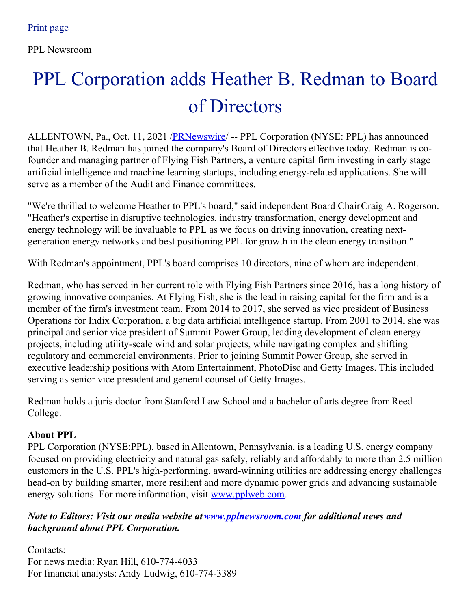PPL Newsroom

## PPL Corporation adds Heather B. Redman to Board of Directors

ALLENTOWN, Pa., Oct. 11, 2021 [/PRNewswire](http://www.prnewswire.com/)/ -- PPL Corporation (NYSE: PPL) has announced that Heather B. Redman has joined the company's Board of Directors effective today. Redman is cofounder and managing partner of Flying Fish Partners, a venture capital firm investing in early stage artificial intelligence and machine learning startups, including energy-related applications. She will serve as a member of the Audit and Finance committees.

"We're thrilled to welcome Heather to PPL's board," said independent Board ChairCraig A. Rogerson. "Heather's expertise in disruptive technologies, industry transformation, energy development and energy technology will be invaluable to PPL as we focus on driving innovation, creating nextgeneration energy networks and best positioning PPL for growth in the clean energy transition."

With Redman's appointment, PPL's board comprises 10 directors, nine of whom are independent.

Redman, who has served in her current role with Flying Fish Partners since 2016, has a long history of growing innovative companies. At Flying Fish, she is the lead in raising capital for the firm and is a member of the firm's investment team. From 2014 to 2017, she served as vice president of Business Operations for Indix Corporation, a big data artificial intelligence startup. From 2001 to 2014, she was principal and senior vice president of Summit Power Group, leading development of clean energy projects, including utility-scale wind and solar projects, while navigating complex and shifting regulatory and commercial environments. Prior to joining Summit Power Group, she served in executive leadership positions with Atom Entertainment, PhotoDisc and Getty Images. This included serving as senior vice president and general counsel of Getty Images.

Redman holds a juris doctor from Stanford Law School and a bachelor of arts degree from Reed College.

## **About PPL**

PPL Corporation (NYSE:PPL), based in Allentown, Pennsylvania, is a leading U.S. energy company focused on providing electricity and natural gas safely, reliably and affordably to more than 2.5 million customers in the U.S. PPL's high-performing, award-winning utilities are addressing energy challenges head-on by building smarter, more resilient and more dynamic power grids and advancing sustainable energy solutions. For more information, visit [www.pplweb.com](https://c212.net/c/link/?t=0&l=en&o=3318840-1&h=1831282822&u=http%3A%2F%2Fwww.pplweb.com%2F&a=www.pplweb.com).

*Note to Editors: Visit our media website at[www.pplnewsroom.com](https://c212.net/c/link/?t=0&l=en&o=3318840-1&h=190049037&u=https%3A%2F%2Fpplweb.mediaroom.com%2Foverview%2F&a=www.pplnewsroom.com) for additional news and background about PPL Corporation.*

Contacts: For news media: Ryan Hill, 610-774-4033 For financial analysts: Andy Ludwig, 610-774-3389